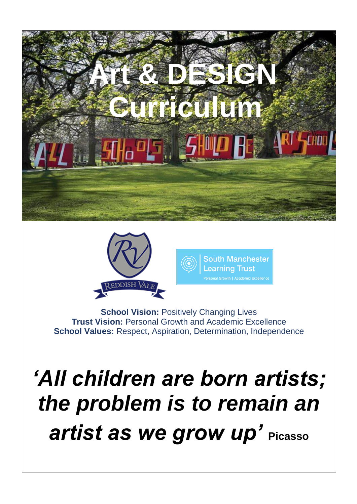



**School Vision: Positively Changing Lives Trust Vision:** Personal Growth and Academic Excellence **School Values:** Respect, Aspiration, Determination, Independence

## *'All children are born artists; the problem is to remain an artist as we grow up'* **Picasso**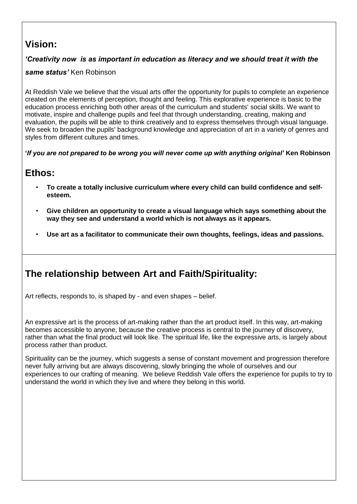## **Vision:**

## *'Creativity now is as important in education as literacy and we should treat it with the*

## *same status'* Ken Robinson

At Reddish Vale we believe that the visual arts offer the opportunity for pupils to complete an experience created on the elements of perception, thought and feeling. This explorative experience is basic to the education process enriching both other areas of the curriculum and students' social skills. We want to motivate, inspire and challenge pupils and feel that through understanding, creating, making and evaluation, the pupils will be able to think creatively and to express themselves through visual language. We seek to broaden the pupils' background knowledge and appreciation of art in a variety of genres and styles from different cultures and times.

**'***If you are not prepared to be wrong you will never come up with anything original'* **Ken Robinson** 

## **Ethos:**

- **To create a totally inclusive curriculum where every child can build confidence and selfesteem.**
- **Give children an opportunity to create a visual language which says something about the way they see and understand a world which is not always as it appears.**
- **Use art as a facilitator to communicate their own thoughts, feelings, ideas and passions.**

## **The relationship between Art and Faith/Spirituality:**

Art reflects, responds to, is shaped by - and even shapes – belief.

An expressive art is the process of art-making rather than the art product itself. In this way, art-making becomes accessible to anyone, because the creative process is central to the journey of discovery, rather than what the final product will look like. The spiritual life, like the expressive arts, is largely about process rather than product.

Spirituality can be the journey, which suggests a sense of constant movement and progression therefore never fully arriving but are always discovering, slowly bringing the whole of ourselves and our experiences to our crafting of meaning. We believe Reddish Vale offers the experience for pupils to try to understand the world in which they live and where they belong in this world.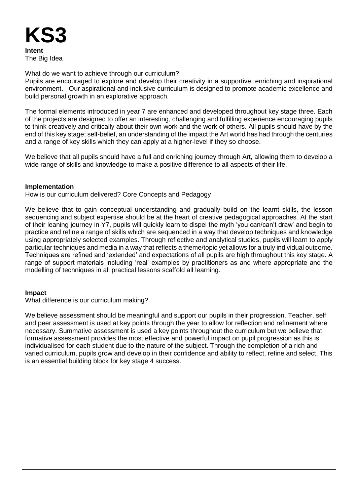

What do we want to achieve through our curriculum?

Pupils are encouraged to explore and develop their creativity in a supportive, enriching and inspirational environment. Our aspirational and inclusive curriculum is designed to promote academic excellence and build personal growth in an explorative approach.

The formal elements introduced in year 7 are enhanced and developed throughout key stage three. Each of the projects are designed to offer an interesting, challenging and fulfilling experience encouraging pupils to think creatively and critically about their own work and the work of others. All pupils should have by the end of this key stage; self-belief, an understanding of the impact the Art world has had through the centuries and a range of key skills which they can apply at a higher-level if they so choose.

We believe that all pupils should have a full and enriching journey through Art, allowing them to develop a wide range of skills and knowledge to make a positive difference to all aspects of their life.

#### **Implementation**

How is our curriculum delivered? Core Concepts and Pedagogy

We believe that to gain conceptual understanding and gradually build on the learnt skills, the lesson sequencing and subject expertise should be at the heart of creative pedagogical approaches. At the start of their leaning journey in Y7, pupils will quickly learn to dispel the myth 'you can/can't draw' and begin to practice and refine a range of skills which are sequenced in a way that develop techniques and knowledge using appropriately selected examples. Through reflective and analytical studies, pupils will learn to apply particular techniques and media in a way that reflects a theme/topic yet allows for a truly individual outcome. Techniques are refined and 'extended' and expectations of all pupils are high throughout this key stage. A range of support materials including 'real' examples by practitioners as and where appropriate and the modelling of techniques in all practical lessons scaffold all learning.

#### **Impact**

What difference is our curriculum making?

We believe assessment should be meaningful and support our pupils in their progression. Teacher, self and peer assessment is used at key points through the year to allow for reflection and refinement where necessary. Summative assessment is used a key points throughout the curriculum but we believe that formative assessment provides the most effective and powerful impact on pupil progression as this is individualised for each student due to the nature of the subject. Through the completion of a rich and varied curriculum, pupils grow and develop in their confidence and ability to reflect, refine and select. This is an essential building block for key stage 4 success.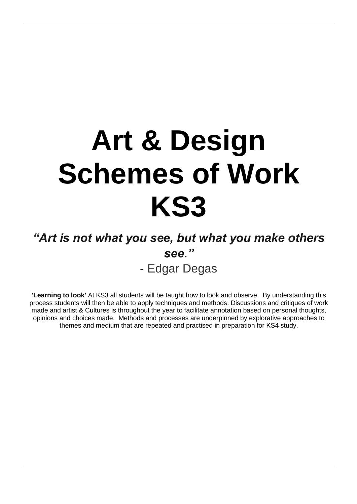# **Art & Design Schemes of Work KS3**

## *"Art is not what you see, but what you make others see."*

- Edgar Degas

**'Learning to look'** At KS3 all students will be taught how to look and observe. By understanding this process students will then be able to apply techniques and methods. Discussions and critiques of work made and artist & Cultures is throughout the year to facilitate annotation based on personal thoughts, opinions and choices made. Methods and processes are underpinned by explorative approaches to themes and medium that are repeated and practised in preparation for KS4 study.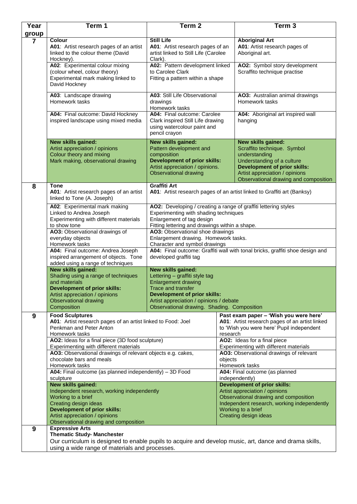| Year             | Term 1                                                                                                                                                                              | Term <sub>2</sub>                                                                                                                                                                                                                                                                                                                                                                                                                                                                                                                                                                                                                                                                                                      | Term <sub>3</sub>                                                                                                                                                                                                         |  |
|------------------|-------------------------------------------------------------------------------------------------------------------------------------------------------------------------------------|------------------------------------------------------------------------------------------------------------------------------------------------------------------------------------------------------------------------------------------------------------------------------------------------------------------------------------------------------------------------------------------------------------------------------------------------------------------------------------------------------------------------------------------------------------------------------------------------------------------------------------------------------------------------------------------------------------------------|---------------------------------------------------------------------------------------------------------------------------------------------------------------------------------------------------------------------------|--|
| group            |                                                                                                                                                                                     |                                                                                                                                                                                                                                                                                                                                                                                                                                                                                                                                                                                                                                                                                                                        |                                                                                                                                                                                                                           |  |
| $\overline{7}$   | Colour<br>A01: Artist research pages of an artist<br>linked to the colour theme (David<br>Hockney).                                                                                 | <b>Still Life</b><br>A01: Artist research pages of an<br>artist linked to Still Life (Carolee<br>Clark).                                                                                                                                                                                                                                                                                                                                                                                                                                                                                                                                                                                                               | <b>Aboriginal Art</b><br>A01: Artist research pages of<br>Aboriginal art.                                                                                                                                                 |  |
|                  | A02: Experimental colour mixing<br>(colour wheel, colour theory)<br>Experimental mark making linked to<br>David Hockney                                                             | A02: Pattern development linked<br>to Carolee Clark<br>Fitting a pattern within a shape                                                                                                                                                                                                                                                                                                                                                                                                                                                                                                                                                                                                                                | AO2: Symbol story development<br>Scraffito technique practise                                                                                                                                                             |  |
|                  | A03: Landscape drawing<br>Homework tasks                                                                                                                                            | A03: Still Life Observational<br>drawings<br>Homework tasks                                                                                                                                                                                                                                                                                                                                                                                                                                                                                                                                                                                                                                                            | AO3: Australian animal drawings<br>Homework tasks                                                                                                                                                                         |  |
|                  | A04: Final outcome: David Hockney<br>inspired landscape using mixed media                                                                                                           | A04: Final outcome: Carolee<br>Clark inspired Still Life drawing<br>using watercolour paint and<br>pencil crayon                                                                                                                                                                                                                                                                                                                                                                                                                                                                                                                                                                                                       | A04: Aboriginal art inspired wall<br>hanging                                                                                                                                                                              |  |
|                  | New skills gained:<br>Artist appreciation / opinions<br>Colour theory and mixing<br>Mark making, observational drawing                                                              | <b>New skills gained:</b><br>Pattern development and<br>composition<br><b>Development of prior skills:</b><br>Artist appreciation / opinions.<br><b>Observational drawing</b>                                                                                                                                                                                                                                                                                                                                                                                                                                                                                                                                          | <b>New skills gained:</b><br>Scraffito technique. Symbol<br>understanding<br>Understanding of a culture<br><b>Development of prior skills:</b><br>Artist appreciation / opinions<br>Observational drawing and composition |  |
| 8                | <b>Tone</b><br>A01: Artist research pages of an artist<br>linked to Tone (A. Joseph)                                                                                                | <b>Graffiti Art</b><br>A01: Artist research pages of an artist linked to Graffiti art (Banksy)<br>AO2: Developing / creating a range of graffiti lettering styles<br>Experimenting with shading techniques<br>Enlargement of tag design<br>Fitting lettering and drawings within a shape.<br>AO3: Observational shoe drawings<br>Enlargement drawing. Homework tasks.<br>Character and symbol drawings<br>A04: Final outcome: Graffiti wall with tonal bricks, graffiti shoe design and<br>developed graffiti tag<br><b>New skills gained:</b><br>Lettering - graffiti style tag<br><b>Enlargement drawing</b><br>Trace and transfer<br><b>Development of prior skills:</b><br>Artist appreciation / opinions / debate |                                                                                                                                                                                                                           |  |
|                  | A02: Experimental mark making<br>Linked to Andrea Joseph<br>Experimenting with different materials<br>to show tone                                                                  |                                                                                                                                                                                                                                                                                                                                                                                                                                                                                                                                                                                                                                                                                                                        |                                                                                                                                                                                                                           |  |
|                  | AO3: Observational drawings of<br>everyday objects<br>Homework tasks                                                                                                                |                                                                                                                                                                                                                                                                                                                                                                                                                                                                                                                                                                                                                                                                                                                        |                                                                                                                                                                                                                           |  |
|                  | A04: Final outcome: Andrea Joseph<br>inspired arrangement of objects. Tone<br>added using a range of techniques                                                                     |                                                                                                                                                                                                                                                                                                                                                                                                                                                                                                                                                                                                                                                                                                                        |                                                                                                                                                                                                                           |  |
|                  | New skills gained:<br>Shading using a range of techniques<br>and materials<br><b>Development of prior skills:</b><br>Artist appreciation / opinions<br><b>Observational drawing</b> |                                                                                                                                                                                                                                                                                                                                                                                                                                                                                                                                                                                                                                                                                                                        |                                                                                                                                                                                                                           |  |
|                  | Composition                                                                                                                                                                         | Observational drawing. Shading. Composition                                                                                                                                                                                                                                                                                                                                                                                                                                                                                                                                                                                                                                                                            |                                                                                                                                                                                                                           |  |
| $\boldsymbol{9}$ | <b>Food Sculptures</b><br>A01: Artist research pages of an artist linked to Food: Joel<br>Penkman and Peter Anton<br>Homework tasks                                                 |                                                                                                                                                                                                                                                                                                                                                                                                                                                                                                                                                                                                                                                                                                                        | Past exam paper - 'Wish you were here'<br>A01: Artist research pages of an artist linked<br>to 'Wish you were here' Pupil independent<br>research                                                                         |  |
|                  | AO2: Ideas for a final piece (3D food sculpture)<br>Experimenting with different materials                                                                                          |                                                                                                                                                                                                                                                                                                                                                                                                                                                                                                                                                                                                                                                                                                                        | AO2: Ideas for a final piece<br>Experimenting with different materials                                                                                                                                                    |  |
|                  | AO3: Observational drawings of relevant objects e.g. cakes,<br>chocolate bars and meals<br>Homework tasks                                                                           |                                                                                                                                                                                                                                                                                                                                                                                                                                                                                                                                                                                                                                                                                                                        | AO3: Observational drawings of relevant<br>objects<br>Homework tasks                                                                                                                                                      |  |
|                  | A04: Final outcome (as planned independently) - 3D Food                                                                                                                             |                                                                                                                                                                                                                                                                                                                                                                                                                                                                                                                                                                                                                                                                                                                        | A04: Final outcome (as planned                                                                                                                                                                                            |  |
|                  | sculpture<br>New skills gained:                                                                                                                                                     |                                                                                                                                                                                                                                                                                                                                                                                                                                                                                                                                                                                                                                                                                                                        | independently)<br><b>Development of prior skills:</b>                                                                                                                                                                     |  |
|                  | Independent research, working independently<br>Working to a brief<br>Creating design ideas                                                                                          |                                                                                                                                                                                                                                                                                                                                                                                                                                                                                                                                                                                                                                                                                                                        | Artist appreciation / opinions<br>Observational drawing and composition<br>Independent research, working independently                                                                                                    |  |
|                  | <b>Development of prior skills:</b><br>Artist appreciation / opinions                                                                                                               | Working to a brief<br>Creating design ideas                                                                                                                                                                                                                                                                                                                                                                                                                                                                                                                                                                                                                                                                            |                                                                                                                                                                                                                           |  |
| 9                | Observational drawing and composition<br><b>Expressive Arts</b>                                                                                                                     |                                                                                                                                                                                                                                                                                                                                                                                                                                                                                                                                                                                                                                                                                                                        |                                                                                                                                                                                                                           |  |
|                  | <b>Thematic Study- Manchester</b><br>Our curriculum is designed to enable pupils to acquire and develop music, art, dance and drama skills,                                         |                                                                                                                                                                                                                                                                                                                                                                                                                                                                                                                                                                                                                                                                                                                        |                                                                                                                                                                                                                           |  |
|                  | using a wide range of materials and processes.                                                                                                                                      |                                                                                                                                                                                                                                                                                                                                                                                                                                                                                                                                                                                                                                                                                                                        |                                                                                                                                                                                                                           |  |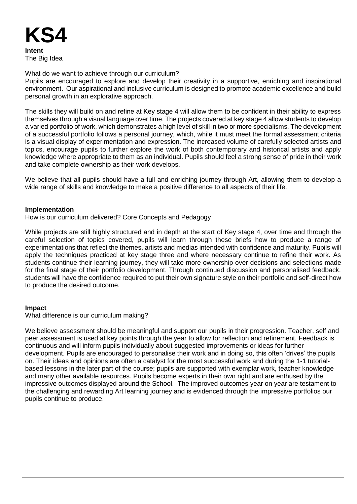

What do we want to achieve through our curriculum?

Pupils are encouraged to explore and develop their creativity in a supportive, enriching and inspirational environment. Our aspirational and inclusive curriculum is designed to promote academic excellence and build personal growth in an explorative approach.

The skills they will build on and refine at Key stage 4 will allow them to be confident in their ability to express themselves through a visual language over time. The projects covered at key stage 4 allow students to develop a varied portfolio of work, which demonstrates a high level of skill in two or more specialisms. The development of a successful portfolio follows a personal journey, which, while it must meet the formal assessment criteria is a visual display of experimentation and expression. The increased volume of carefully selected artists and topics, encourage pupils to further explore the work of both contemporary and historical artists and apply knowledge where appropriate to them as an individual. Pupils should feel a strong sense of pride in their work and take complete ownership as their work develops.

We believe that all pupils should have a full and enriching journey through Art, allowing them to develop a wide range of skills and knowledge to make a positive difference to all aspects of their life.

#### **Implementation**

How is our curriculum delivered? Core Concepts and Pedagogy

While projects are still highly structured and in depth at the start of Key stage 4, over time and through the careful selection of topics covered, pupils will learn through these briefs how to produce a range of experimentations that reflect the themes, artists and medias intended with confidence and maturity. Pupils will apply the techniques practiced at key stage three and where necessary continue to refine their work. As students continue their learning journey, they will take more ownership over decisions and selections made for the final stage of their portfolio development. Through continued discussion and personalised feedback, students will have the confidence required to put their own signature style on their portfolio and self-direct how to produce the desired outcome.

#### **Impact**

What difference is our curriculum making?

We believe assessment should be meaningful and support our pupils in their progression. Teacher, self and peer assessment is used at key points through the year to allow for reflection and refinement. Feedback is continuous and will inform pupils individually about suggested improvements or ideas for further development. Pupils are encouraged to personalise their work and in doing so, this often 'drives' the pupils on. Their ideas and opinions are often a catalyst for the most successful work and during the 1-1 tutorialbased lessons in the later part of the course; pupils are supported with exemplar work, teacher knowledge and many other available resources. Pupils become experts in their own right and are enthused by the impressive outcomes displayed around the School. The improved outcomes year on year are testament to the challenging and rewarding Art learning journey and is evidenced through the impressive portfolios our pupils continue to produce.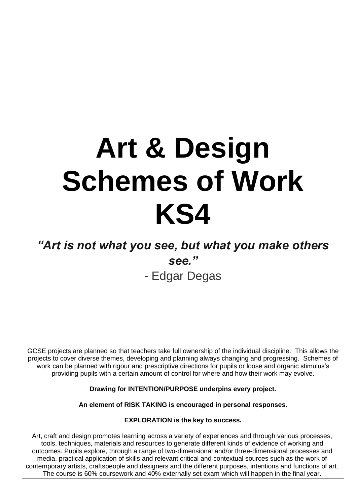## **Art & Design Schemes of Work KS4**

## *"Art is not what you see, but what you make others see."*

- Edgar Degas

GCSE projects are planned so that teachers take full ownership of the individual discipline. This allows the projects to cover diverse themes, developing and planning always changing and progressing. Schemes of work can be planned with rigour and prescriptive directions for pupils or loose and organic stimulus's providing pupils with a certain amount of control for where and how their work may evolve.

**Drawing for INTENTION/PURPOSE underpins every project.**

**An element of RISK TAKING is encouraged in personal responses.**

### **EXPLORATION is the key to success.**

Art, craft and design promotes learning across a variety of experiences and through various processes, tools, techniques, materials and resources to generate different kinds of evidence of working and outcomes. Pupils explore, through a range of two-dimensional and/or three-dimensional processes and media, practical application of skills and relevant critical and contextual sources such as the work of contemporary artists, craftspeople and designers and the different purposes, intentions and functions of art. The course is 60% coursework and 40% externally set exam which will happen in the final year.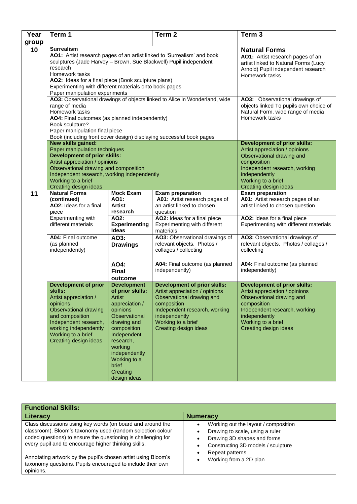| Year  | Term 1                                                                                                                                                                                                                                                                                                                                                                                                                                                                                                                                                                                                                                                                                                                                                                                                                                                                                                                     |                                                                                                                                                                                                                                            | Term <sub>2</sub>                                                                                                                                                                                                  | Term <sub>3</sub>                                                                                                                                                                                                  |
|-------|----------------------------------------------------------------------------------------------------------------------------------------------------------------------------------------------------------------------------------------------------------------------------------------------------------------------------------------------------------------------------------------------------------------------------------------------------------------------------------------------------------------------------------------------------------------------------------------------------------------------------------------------------------------------------------------------------------------------------------------------------------------------------------------------------------------------------------------------------------------------------------------------------------------------------|--------------------------------------------------------------------------------------------------------------------------------------------------------------------------------------------------------------------------------------------|--------------------------------------------------------------------------------------------------------------------------------------------------------------------------------------------------------------------|--------------------------------------------------------------------------------------------------------------------------------------------------------------------------------------------------------------------|
| group |                                                                                                                                                                                                                                                                                                                                                                                                                                                                                                                                                                                                                                                                                                                                                                                                                                                                                                                            |                                                                                                                                                                                                                                            |                                                                                                                                                                                                                    |                                                                                                                                                                                                                    |
| 10    | <b>Surrealism</b><br>AO1: Artist research pages of an artist linked to 'Surrealism' and book<br>sculptures (Jade Harvey - Brown, Sue Blackwell) Pupil independent<br>research<br>Homework tasks<br>AO2: Ideas for a final piece (Book sculpture plans)<br>Experimenting with different materials onto book pages<br>Paper manipulation experiments<br>AO3: Observational drawings of objects linked to Alice in Wonderland, wide<br>range of media<br>Homework tasks<br>AO4: Final outcomes (as planned independently)<br>Book sculpture?<br>Paper manipulation final piece<br>Book (including front cover design) displaying successful book pages<br>New skills gained:<br>Paper manipulation techniques<br><b>Development of prior skills:</b><br>Artist appreciation / opinions<br>Observational drawing and composition<br>Independent research, working independently<br>Working to a brief<br>Creating design ideas |                                                                                                                                                                                                                                            |                                                                                                                                                                                                                    | <b>Natural Forms</b><br>AO1: Artist research pages of an<br>artist linked to Natural Forms (Lucy<br>Arnold) Pupil independent research<br>Homework tasks                                                           |
|       |                                                                                                                                                                                                                                                                                                                                                                                                                                                                                                                                                                                                                                                                                                                                                                                                                                                                                                                            |                                                                                                                                                                                                                                            |                                                                                                                                                                                                                    | AO3: Observational drawings of<br>objects linked To pupils own choice of<br>Natural Form, wide range of media<br>Homework tasks                                                                                    |
|       |                                                                                                                                                                                                                                                                                                                                                                                                                                                                                                                                                                                                                                                                                                                                                                                                                                                                                                                            |                                                                                                                                                                                                                                            |                                                                                                                                                                                                                    | <b>Development of prior skills:</b><br>Artist appreciation / opinions<br>Observational drawing and<br>composition<br>Independent research, working<br>independently<br>Working to a brief<br>Creating design ideas |
| 11    | <b>Natural Forms</b><br>(continued)<br>AO2: Ideas for a final<br>piece<br>Experimenting with<br>different materials                                                                                                                                                                                                                                                                                                                                                                                                                                                                                                                                                                                                                                                                                                                                                                                                        | <b>Mock Exam</b><br>AO1:<br><b>Artist</b><br>research<br>AO2:<br><b>Experimenting</b><br><b>Ideas</b>                                                                                                                                      | <b>Exam preparation</b><br>A01: Artist research pages of<br>an artist linked to chosen<br>question<br>AO2: Ideas for a final piece<br>Experimenting with different<br>materials                                    | <b>Exam preparation</b><br>A01: Artist research pages of an<br>artist linked to chosen question<br>AO2: Ideas for a final piece<br>Experimenting with different materials                                          |
|       | A04: Final outcome<br>(as planned<br>independently)                                                                                                                                                                                                                                                                                                                                                                                                                                                                                                                                                                                                                                                                                                                                                                                                                                                                        | AO3:<br><b>Drawings</b>                                                                                                                                                                                                                    | AO3: Observational drawings of<br>relevant objects. Photos /<br>collages / collecting                                                                                                                              | AO3: Observational drawings of<br>relevant objects. Photos / collages /<br>collecting                                                                                                                              |
|       |                                                                                                                                                                                                                                                                                                                                                                                                                                                                                                                                                                                                                                                                                                                                                                                                                                                                                                                            | AO4:<br><b>Final</b><br>outcome                                                                                                                                                                                                            | A04: Final outcome (as planned<br>independently)                                                                                                                                                                   | A04: Final outcome (as planned<br>independently)                                                                                                                                                                   |
|       | <b>Development of prior</b><br>skills:<br>Artist appreciation /<br>opinions<br><b>Observational drawing</b><br>and composition<br>Independent research,<br>working independently<br>Working to a brief<br>Creating design ideas                                                                                                                                                                                                                                                                                                                                                                                                                                                                                                                                                                                                                                                                                            | <b>Development</b><br>of prior skills:<br>Artist<br>appreciation /<br>opinions<br>Observational<br>drawing and<br>composition<br>Independent<br>research,<br>working<br>independently<br>Working to a<br>brief<br>Creating<br>design ideas | <b>Development of prior skills:</b><br>Artist appreciation / opinions<br>Observational drawing and<br>composition<br>Independent research, working<br>independently<br>Working to a brief<br>Creating design ideas | <b>Development of prior skills:</b><br>Artist appreciation / opinions<br>Observational drawing and<br>composition<br>Independent research, working<br>independently<br>Working to a brief<br>Creating design ideas |

| <b>Functional Skills:</b>                                                                                                                                                                                                                                                                                                                                                                     |                                                                                                                                                                                           |
|-----------------------------------------------------------------------------------------------------------------------------------------------------------------------------------------------------------------------------------------------------------------------------------------------------------------------------------------------------------------------------------------------|-------------------------------------------------------------------------------------------------------------------------------------------------------------------------------------------|
| <b>Literacy</b>                                                                                                                                                                                                                                                                                                                                                                               | <b>Numeracy</b>                                                                                                                                                                           |
| Class discussions using key words (on board and around the<br>classroom). Bloom's taxonomy used (random selection colour<br>coded questions) to ensure the questioning is challenging for<br>every pupil and to encourage higher thinking skills.<br>Annotating artwork by the pupil's chosen artist using Bloom's<br>taxonomy questions. Pupils encouraged to include their own<br>opinions. | Working out the layout / composition<br>Drawing to scale, using a ruler<br>Drawing 3D shapes and forms<br>Constructing 3D models / sculpture<br>Repeat patterns<br>Working from a 2D plan |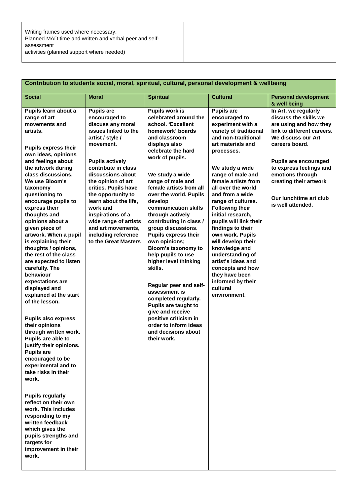| Contribution to students social, moral, spiritual, cultural, personal development & wellbeing                                                                                                                                                                                                                                                                                                                                                                                                                                                                                                                                                                                                                                                                                                                                                                                                                                                                                                                             |                                                                                                                                                                                                                                                                                                                                                                                                                    |                                                                                                                                                                                                                                                                                                                                                                                                                                                                                                                                                                                                                                                                                                                         |                                                                                                                                                                                                                                                                                                                                                                                                                                                                                                                                                                     |                                                                                                                                                                                                                                                                                                       |
|---------------------------------------------------------------------------------------------------------------------------------------------------------------------------------------------------------------------------------------------------------------------------------------------------------------------------------------------------------------------------------------------------------------------------------------------------------------------------------------------------------------------------------------------------------------------------------------------------------------------------------------------------------------------------------------------------------------------------------------------------------------------------------------------------------------------------------------------------------------------------------------------------------------------------------------------------------------------------------------------------------------------------|--------------------------------------------------------------------------------------------------------------------------------------------------------------------------------------------------------------------------------------------------------------------------------------------------------------------------------------------------------------------------------------------------------------------|-------------------------------------------------------------------------------------------------------------------------------------------------------------------------------------------------------------------------------------------------------------------------------------------------------------------------------------------------------------------------------------------------------------------------------------------------------------------------------------------------------------------------------------------------------------------------------------------------------------------------------------------------------------------------------------------------------------------------|---------------------------------------------------------------------------------------------------------------------------------------------------------------------------------------------------------------------------------------------------------------------------------------------------------------------------------------------------------------------------------------------------------------------------------------------------------------------------------------------------------------------------------------------------------------------|-------------------------------------------------------------------------------------------------------------------------------------------------------------------------------------------------------------------------------------------------------------------------------------------------------|
| <b>Social</b>                                                                                                                                                                                                                                                                                                                                                                                                                                                                                                                                                                                                                                                                                                                                                                                                                                                                                                                                                                                                             | <b>Moral</b>                                                                                                                                                                                                                                                                                                                                                                                                       | <b>Spiritual</b>                                                                                                                                                                                                                                                                                                                                                                                                                                                                                                                                                                                                                                                                                                        | <b>Cultural</b>                                                                                                                                                                                                                                                                                                                                                                                                                                                                                                                                                     | <b>Personal development</b><br>& well being                                                                                                                                                                                                                                                           |
| Pupils learn about a<br>range of art<br>movements and<br>artists.<br><b>Pupils express their</b><br>own ideas, opinions<br>and feelings about<br>the artwork during<br>class discussions.<br>We use Bloom's<br>taxonomy<br>questioning to<br>encourage pupils to<br>express their<br>thoughts and<br>opinions about a<br>given piece of<br>artwork. When a pupil<br>is explaining their<br>thoughts / opinions,<br>the rest of the class<br>are expected to listen<br>carefully. The<br>behaviour<br>expectations are<br>displayed and<br>explained at the start<br>of the lesson.<br><b>Pupils also express</b><br>their opinions<br>through written work.<br>Pupils are able to<br>justify their opinions.<br><b>Pupils are</b><br>encouraged to be<br>experimental and to<br>take risks in their<br>work.<br><b>Pupils regularly</b><br>reflect on their own<br>work. This includes<br>responding to my<br>written feedback<br>which gives the<br>pupils strengths and<br>targets for<br>improvement in their<br>work. | <b>Pupils are</b><br>encouraged to<br>discuss any moral<br>issues linked to the<br>artist / style /<br>movement.<br><b>Pupils actively</b><br>contribute in class<br>discussions about<br>the opinion of art<br>critics. Pupils have<br>the opportunity to<br>learn about the life,<br>work and<br>inspirations of a<br>wide range of artists<br>and art movements,<br>including reference<br>to the Great Masters | <b>Pupils work is</b><br>celebrated around the<br>school. 'Excellent<br>homework' boards<br>and classroom<br>displays also<br>celebrate the hard<br>work of pupils.<br>We study a wide<br>range of male and<br>female artists from all<br>over the world. Pupils<br>develop<br>communication skills<br>through actively<br>contributing in class /<br>group discussions.<br><b>Pupils express their</b><br>own opinions;<br>Bloom's taxonomy to<br>help pupils to use<br>higher level thinking<br>skills.<br>Regular peer and self-<br>assessment is<br>completed regularly.<br><b>Pupils are taught to</b><br>give and receive<br>positive criticism in<br>order to inform ideas<br>and decisions about<br>their work. | <b>Pupils are</b><br>encouraged to<br>experiment with a<br>variety of traditional<br>and non-traditional<br>art materials and<br>processes.<br>We study a wide<br>range of male and<br>female artists from<br>all over the world<br>and from a wide<br>range of cultures.<br><b>Following their</b><br>initial research,<br>pupils will link their<br>findings to their<br>own work. Pupils<br>will develop their<br>knowledge and<br>understanding of<br>artist's ideas and<br>concepts and how<br>they have been<br>informed by their<br>cultural<br>environment. | In Art, we regularly<br>discuss the skills we<br>are using and how they<br>link to different careers.<br>We discuss our Art<br>careers board.<br><b>Pupils are encouraged</b><br>to express feelings and<br>emotions through<br>creating their artwork<br>Our lunchtime art club<br>is well attended. |